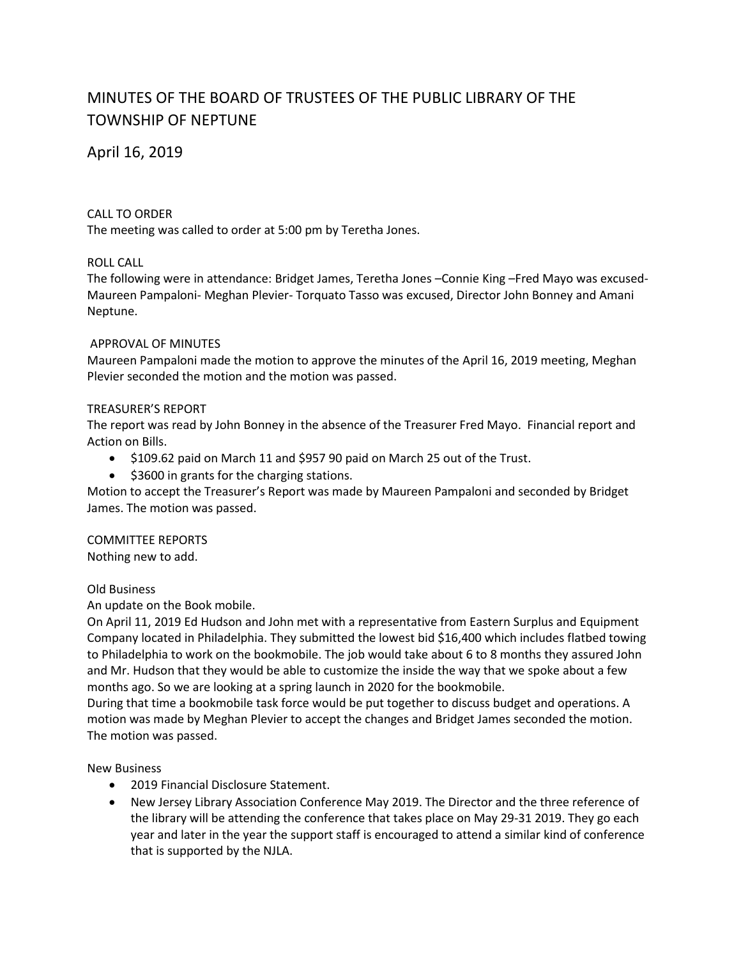# MINUTES OF THE BOARD OF TRUSTEES OF THE PUBLIC LIBRARY OF THE TOWNSHIP OF NEPTUNE

April 16, 2019

### CALL TO ORDER

The meeting was called to order at 5:00 pm by Teretha Jones.

## ROLL CALL

The following were in attendance: Bridget James, Teretha Jones –Connie King –Fred Mayo was excused-Maureen Pampaloni- Meghan Plevier- Torquato Tasso was excused, Director John Bonney and Amani Neptune.

#### APPROVAL OF MINUTES

Maureen Pampaloni made the motion to approve the minutes of the April 16, 2019 meeting, Meghan Plevier seconded the motion and the motion was passed.

#### TREASURER'S REPORT

The report was read by John Bonney in the absence of the Treasurer Fred Mayo. Financial report and Action on Bills.

- \$109.62 paid on March 11 and \$957 90 paid on March 25 out of the Trust.
- $\bullet$  \$3600 in grants for the charging stations.

Motion to accept the Treasurer's Report was made by Maureen Pampaloni and seconded by Bridget James. The motion was passed.

COMMITTEE REPORTS Nothing new to add.

#### Old Business

An update on the Book mobile.

On April 11, 2019 Ed Hudson and John met with a representative from Eastern Surplus and Equipment Company located in Philadelphia. They submitted the lowest bid \$16,400 which includes flatbed towing to Philadelphia to work on the bookmobile. The job would take about 6 to 8 months they assured John and Mr. Hudson that they would be able to customize the inside the way that we spoke about a few months ago. So we are looking at a spring launch in 2020 for the bookmobile.

During that time a bookmobile task force would be put together to discuss budget and operations. A motion was made by Meghan Plevier to accept the changes and Bridget James seconded the motion. The motion was passed.

New Business

- 2019 Financial Disclosure Statement.
- New Jersey Library Association Conference May 2019. The Director and the three reference of the library will be attending the conference that takes place on May 29-31 2019. They go each year and later in the year the support staff is encouraged to attend a similar kind of conference that is supported by the NJLA.